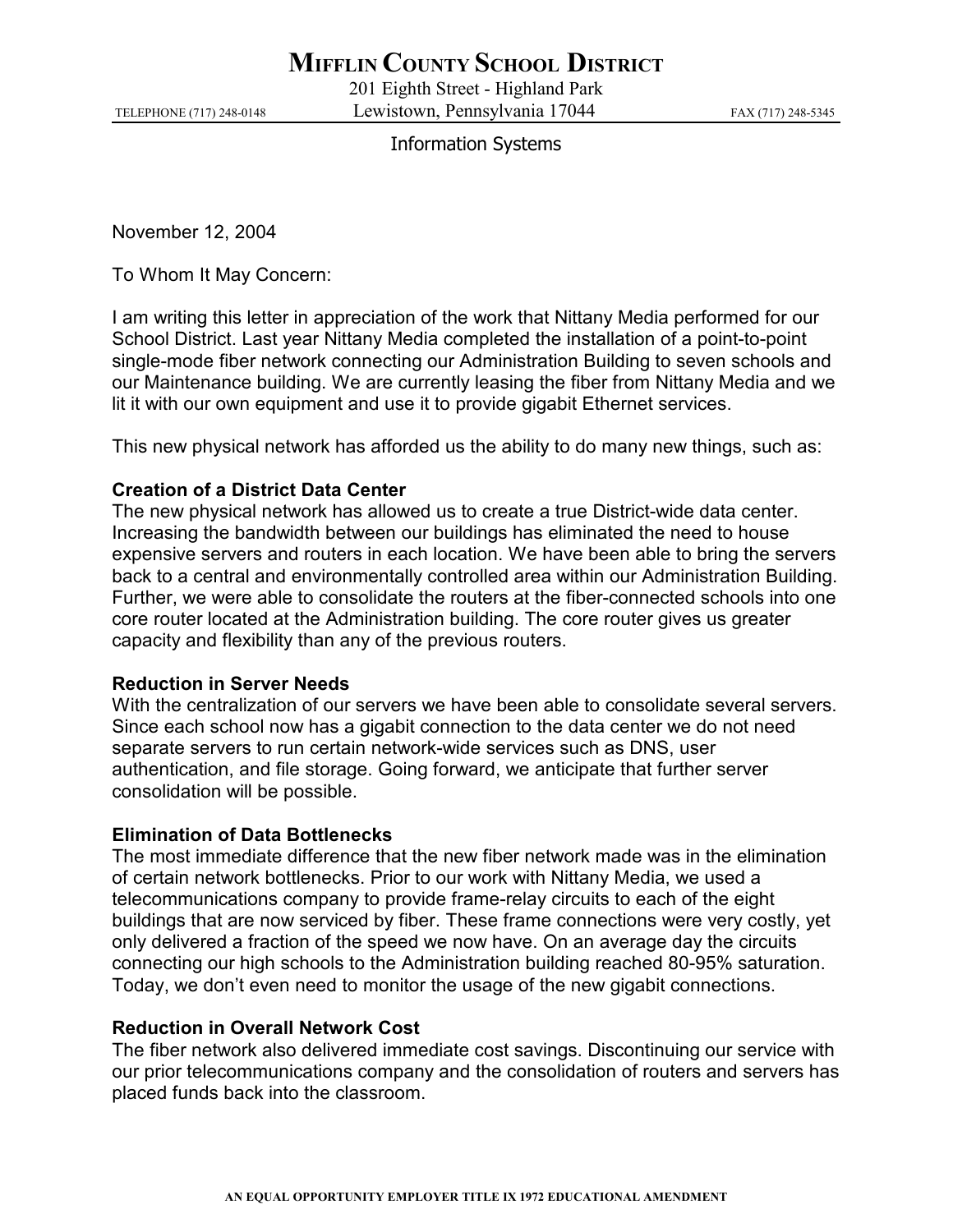# **MIFFLIN COUNTY SCHOOL DISTRICT**

201 Eighth Street - Highland Park TELEPHONE (717) 248-0148 Lewistown, Pennsylvania 17044 FAX (717) 248-5345

## Information Systems

November 12, 2004

To Whom It May Concern:

I am writing this letter in appreciation of the work that Nittany Media performed for our School District. Last year Nittany Media completed the installation of a point-to-point single-mode fiber network connecting our Administration Building to seven schools and our Maintenance building. We are currently leasing the fiber from Nittany Media and we lit it with our own equipment and use it to provide gigabit Ethernet services.

This new physical network has afforded us the ability to do many new things, such as:

### Creation of a District Data Center

The new physical network has allowed us to create a true District-wide data center. Increasing the bandwidth between our buildings has eliminated the need to house expensive servers and routers in each location. We have been able to bring the servers back to a central and environmentally controlled area within our Administration Building. Further, we were able to consolidate the routers at the fiber-connected schools into one core router located at the Administration building. The core router gives us greater capacity and flexibility than any of the previous routers.

#### Reduction in Server Needs

With the centralization of our servers we have been able to consolidate several servers. Since each school now has a gigabit connection to the data center we do not need separate servers to run certain network-wide services such as DNS, user authentication, and file storage. Going forward, we anticipate that further server consolidation will be possible.

#### Elimination of Data Bottlenecks

The most immediate difference that the new fiber network made was in the elimination of certain network bottlenecks. Prior to our work with Nittany Media, we used a telecommunications company to provide frame-relay circuits to each of the eight buildings that are now serviced by fiber. These frame connections were very costly, yet only delivered a fraction of the speed we now have. On an average day the circuits connecting our high schools to the Administration building reached 80-95% saturation. Today, we don't even need to monitor the usage of the new gigabit connections.

#### Reduction in Overall Network Cost

The fiber network also delivered immediate cost savings. Discontinuing our service with our prior telecommunications company and the consolidation of routers and servers has placed funds back into the classroom.